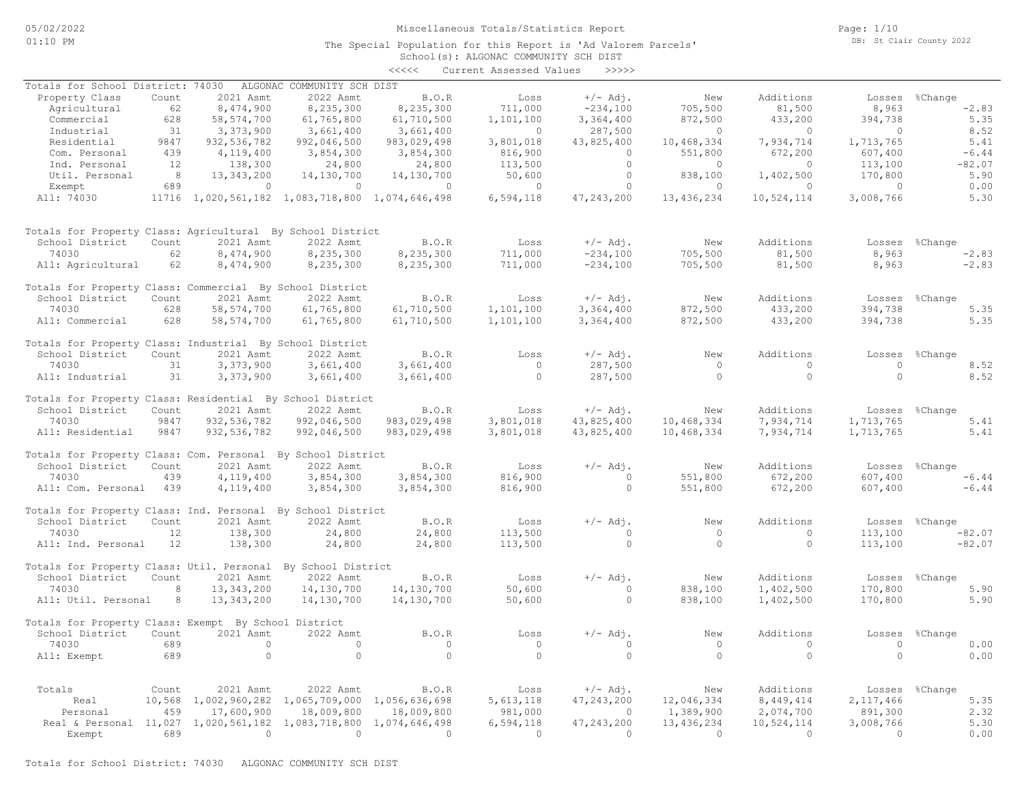The Special Population for this Report is 'Ad Valorem Parcels'

Page: 1/10 DB: St Clair County 2022

|                                                                  |        |               |                                                 |               | School(s): ALGONAC COMMUNITY SCH DIST |              |            |                |            |                |
|------------------------------------------------------------------|--------|---------------|-------------------------------------------------|---------------|---------------------------------------|--------------|------------|----------------|------------|----------------|
|                                                                  |        |               |                                                 | <<<<          | Current Assessed Values               | >>>>>        |            |                |            |                |
| Totals for School District: 74030                                |        |               | ALGONAC COMMUNITY SCH DIST                      |               |                                       |              |            |                |            |                |
| Property Class                                                   | Count  | 2021 Asmt     | 2022 Asmt                                       | B.O.R         | Loss                                  | $+/-$ Adi.   | New        | Additions      |            | Losses %Change |
| Agricultural                                                     | 62     | 8,474,900     | 8,235,300                                       | 8,235,300     | 711,000                               | $-234,100$   | 705,500    | 81,500         | 8,963      | $-2.83$        |
| Commercial                                                       | 628    | 58, 574, 700  | 61,765,800                                      | 61,710,500    | 1,101,100                             | 3,364,400    | 872,500    | 433,200        | 394,738    | 5.35           |
| Industrial                                                       | 31     | 3,373,900     | 3,661,400                                       | 3,661,400     | $\circ$                               | 287,500      | $\circ$    | $\overline{0}$ | $\bigcirc$ | 8.52           |
| Residential                                                      | 9847   | 932, 536, 782 | 992,046,500                                     | 983,029,498   | 3,801,018                             | 43,825,400   | 10,468,334 | 7,934,714      | 1,713,765  | 5.41           |
| Com. Personal                                                    | 439    | 4,119,400     | 3,854,300                                       | 3,854,300     | 816,900                               | $\Omega$     | 551,800    | 672,200        | 607,400    | $-6.44$        |
| Ind. Personal                                                    | 12     | 138,300       | 24,800                                          | 24,800        | 113,500                               | $\circ$      | $\circ$    | $\circ$        | 113,100    | $-82.07$       |
| Util. Personal                                                   | 8      | 13,343,200    | 14,130,700                                      | 14,130,700    | 50,600                                | $\circ$      | 838,100    | 1,402,500      | 170,800    | 5.90           |
| Exempt                                                           | 689    | $\circ$       | $\circ$                                         | $\circ$       | $\circ$                               | $\circ$      | $\circ$    | $\circ$        | $\circ$    | 0.00           |
| All: 74030                                                       |        |               | 11716 1,020,561,182 1,083,718,800 1,074,646,498 |               | 6,594,118                             | 47, 243, 200 | 13,436,234 | 10,524,114     | 3,008,766  | 5.30           |
| Totals for Property Class: Agricultural By School District       |        |               |                                                 |               |                                       |              |            |                |            |                |
| School District                                                  | Count  | 2021 Asmt     | 2022 Asmt                                       | B.O.R         | Loss                                  | $+/-$ Adj.   | New        | Additions      |            | Losses %Change |
| 74030                                                            | 62     | 8,474,900     | 8,235,300                                       | 8,235,300     | 711,000                               | $-234,100$   | 705,500    | 81,500         | 8,963      | $-2.83$        |
| All: Agricultural                                                | 62     | 8,474,900     | 8,235,300                                       | 8,235,300     | 711,000                               | $-234,100$   | 705,500    | 81,500         | 8,963      | $-2.83$        |
| Totals for Property Class: Commercial By School District         |        |               |                                                 |               |                                       |              |            |                |            |                |
| School District                                                  | Count  | 2021 Asmt     | 2022 Asmt                                       | B.O.R         | Loss                                  | $+/-$ Adi.   | New        | Additions      | Losses     | %Change        |
| 74030                                                            | 628    | 58, 574, 700  | 61,765,800                                      | 61,710,500    | 1,101,100                             | 3,364,400    | 872,500    | 433,200        | 394,738    | 5.35           |
| All: Commercial                                                  | 628    | 58, 574, 700  | 61,765,800                                      | 61,710,500    | 1,101,100                             | 3,364,400    | 872,500    | 433,200        | 394,738    | 5.35           |
| Totals for Property Class: Industrial By School District         |        |               |                                                 |               |                                       |              |            |                |            |                |
| School District                                                  | Count  | 2021 Asmt     | 2022 Asmt                                       | B.O.R         | Loss                                  | $+/-$ Adj.   | New        | Additions      | Losses     | %Change        |
| 74030                                                            | 31     | 3,373,900     | 3,661,400                                       | 3,661,400     | $\circ$                               | 287,500      | $\circ$    | $\circ$        | $\circ$    | 8.52           |
| All: Industrial                                                  | 31     | 3,373,900     | 3,661,400                                       | 3,661,400     | $\circ$                               | 287,500      | $\circ$    | $\circ$        | $\circ$    | 8.52           |
| Totals for Property Class: Residential By School District        |        |               |                                                 |               |                                       |              |            |                |            |                |
| School District                                                  | Count  | 2021 Asmt     | 2022 Asmt                                       | B.O.R         | Loss                                  | $+/-$ Adj.   | New        | Additions      |            | Losses %Change |
| 74030                                                            | 9847   | 932, 536, 782 | 992,046,500                                     | 983,029,498   | 3,801,018                             | 43,825,400   | 10,468,334 | 7,934,714      | 1,713,765  | 5.41           |
| All: Residential                                                 | 9847   | 932, 536, 782 | 992,046,500                                     | 983,029,498   | 3,801,018                             | 43,825,400   | 10,468,334 | 7,934,714      | 1,713,765  | 5.41           |
| Totals for Property Class: Com. Personal By School District      |        |               |                                                 |               |                                       |              |            |                |            |                |
| School District                                                  | Count  | 2021 Asmt     | 2022 Asmt                                       | B.O.R         | Loss                                  | $+/-$ Adj.   | New        | Additions      | Losses     | %Change        |
| 74030                                                            | 439    | 4,119,400     | 3,854,300                                       | 3,854,300     | 816,900                               | $\circ$      | 551,800    | 672,200        | 607,400    | $-6.44$        |
| All: Com. Personal                                               | 439    | 4,119,400     | 3,854,300                                       | 3,854,300     | 816,900                               | $\circ$      | 551,800    | 672,200        | 607,400    | $-6.44$        |
| Totals for Property Class: Ind. Personal By School District      |        |               |                                                 |               |                                       |              |            |                |            |                |
| School District                                                  | Count  | 2021 Asmt     | 2022 Asmt                                       | B.O.R         | Loss                                  | $+/-$ Adj.   | New        | Additions      | Losses     | %Change        |
| 74030                                                            | 12     | 138,300       | 24,800                                          | 24,800        | 113,500                               | $\circ$      | $\circ$    | $\Omega$       | 113,100    | $-82.07$       |
| All: Ind. Personal                                               | 12     | 138,300       | 24,800                                          | 24,800        | 113,500                               | $\Omega$     | $\Omega$   | $\Omega$       | 113,100    | $-82.07$       |
| Totals for Property Class: Util. Personal By School District     |        |               |                                                 |               |                                       |              |            |                |            |                |
| School District                                                  | Count  | 2021 Asmt     | 2022 Asmt                                       | B.O.R         | Loss                                  | $+/-$ Adj.   | New        | Additions      | Losses     | %Change        |
| 74030                                                            | 8      | 13, 343, 200  | 14,130,700                                      | 14,130,700    | 50,600                                | $\circ$      | 838,100    | 1,402,500      | 170,800    | 5.90           |
| All: Util. Personal                                              | 8      | 13,343,200    | 14,130,700                                      | 14,130,700    | 50,600                                | $\Omega$     | 838,100    | 1,402,500      | 170,800    | 5.90           |
| Totals for Property Class: Exempt By School District             |        |               |                                                 |               |                                       |              |            |                |            |                |
| School District                                                  | Count  | 2021 Asmt     | 2022 Asmt                                       | B.O.R         | Loss                                  | $+/-$ Adj.   | New        | Additions      | Losses     | %Change        |
| 74030                                                            | 689    | $\circ$       | $\circ$                                         | $\circ$       | $\circ$                               | $\circ$      | $\circ$    | $\circ$        | $\Omega$   | 0.00           |
| All: Exempt                                                      | 689    | $\circ$       | $\Omega$                                        | $\circ$       | $\Omega$                              | $\circ$      | $\Omega$   | $\circ$        | $\Omega$   | 0.00           |
| Totals                                                           | Count  | 2021 Asmt     | 2022 Asmt                                       | B.O.R         | Loss                                  | $+/-$ Adj.   | New        | Additions      |            | Losses %Change |
| Real                                                             | 10,568 | 1,002,960,282 | 1,065,709,000                                   | 1,056,636,698 | 5, 613, 118                           | 47, 243, 200 | 12,046,334 | 8, 449, 414    | 2,117,466  | 5.35           |
| Personal                                                         | 459    | 17,600,900    | 18,009,800                                      | 18,009,800    | 981,000                               | $\Omega$     | 1,389,900  | 2,074,700      | 891,300    | 2.32           |
| Real & Personal 11,027 1,020,561,182 1,083,718,800 1,074,646,498 |        |               |                                                 |               | 6,594,118                             | 47, 243, 200 | 13,436,234 | 10,524,114     | 3,008,766  | 5.30           |

Exempt 689 0 0 0 0 0 0 0 0 0.00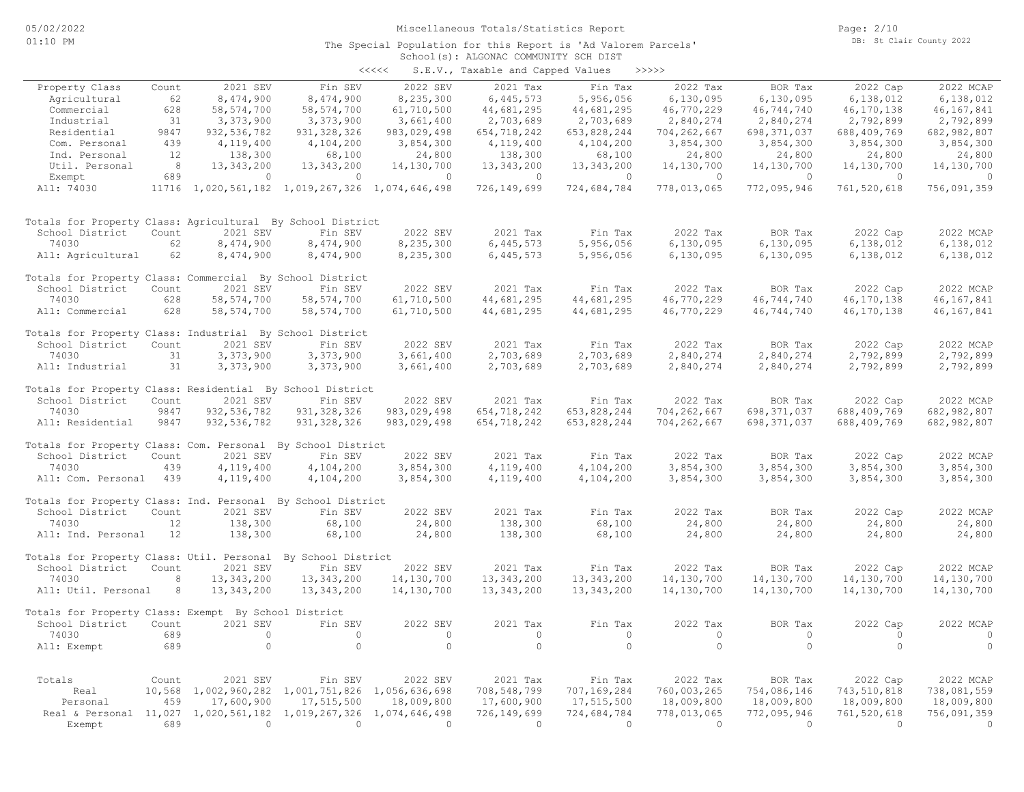#### School(s): ALGONAC COMMUNITY SCH DIST The Special Population for this Report is 'Ad Valorem Parcels'

| くくくくく | S.E.V., Taxable and Capped Values |  | >>>>>> |
|-------|-----------------------------------|--|--------|

| Property Class                                              | Count  | 2021 SEV                    | Fin SEV                                         | 2022 SEV                    | 2021 Tax                  | Fin Tax                   | 2022 Tax                  | BOR Tax                   | 2022 Cap                  | 2022 MCAP                 |
|-------------------------------------------------------------|--------|-----------------------------|-------------------------------------------------|-----------------------------|---------------------------|---------------------------|---------------------------|---------------------------|---------------------------|---------------------------|
| Agricultural                                                | 62     | 8,474,900                   | 8,474,900                                       | 8,235,300                   | 6,445,573                 | 5,956,056                 | 6,130,095                 | 6,130,095                 | 6,138,012                 | 6,138,012                 |
| Commercial                                                  | 628    | 58, 574, 700                | 58, 574, 700                                    | 61,710,500                  | 44,681,295                | 44,681,295                | 46,770,229                | 46,744,740                | 46, 170, 138              | 46, 167, 841              |
| Industrial                                                  | 31     | 3,373,900                   | 3,373,900                                       | 3,661,400                   | 2,703,689                 | 2,703,689                 | 2,840,274                 | 2,840,274                 | 2,792,899                 | 2,792,899                 |
| Residential                                                 | 9847   | 932, 536, 782               | 931, 328, 326                                   | 983,029,498                 | 654,718,242               | 653,828,244               | 704,262,667               | 698, 371, 037             | 688,409,769               | 682,982,807               |
| Com. Personal                                               | 439    | 4,119,400                   | 4,104,200                                       | 3,854,300                   | 4,119,400                 | 4,104,200                 | 3,854,300                 | 3,854,300                 | 3,854,300                 | 3,854,300                 |
| Ind. Personal                                               | 12     | 138,300                     | 68,100                                          | 24,800                      | 138,300                   | 68,100                    | 24,800                    | 24,800                    | 24,800                    | 24,800                    |
| Util. Personal                                              | 8      | 13, 343, 200                | 13, 343, 200                                    | 14,130,700                  | 13, 343, 200              | 13, 343, 200              | 14,130,700                | 14,130,700                | 14,130,700                | 14,130,700                |
| Exempt                                                      | 689    | $\circ$                     | $\circ$                                         | $\circ$                     | $\circ$                   | $\circ$                   | $\circ$                   | $\circ$                   | $\circ$                   | $\circ$                   |
| All: 74030                                                  |        |                             | 11716 1,020,561,182 1,019,267,326 1,074,646,498 |                             | 726,149,699               | 724,684,784               | 778,013,065               | 772,095,946               | 761,520,618               | 756,091,359               |
| Totals for Property Class: Agricultural By School District  |        |                             |                                                 |                             |                           |                           |                           |                           |                           |                           |
| School District                                             | Count  | 2021 SEV                    | Fin SEV                                         | 2022 SEV                    | 2021 Tax                  | Fin Tax                   | 2022 Tax                  | BOR Tax                   | 2022 Cap                  | 2022 MCAP                 |
| 74030                                                       | 62     | 8,474,900                   | 8,474,900                                       | 8,235,300                   | 6,445,573                 | 5,956,056                 | 6,130,095                 | 6,130,095                 | 6,138,012                 | 6,138,012                 |
| All: Agricultural                                           | 62     | 8,474,900                   | 8,474,900                                       | 8,235,300                   | 6, 445, 573               | 5,956,056                 | 6,130,095                 | 6,130,095                 | 6,138,012                 | 6,138,012                 |
| Totals for Property Class: Commercial By School District    |        |                             |                                                 |                             |                           |                           |                           |                           |                           |                           |
| School District                                             | Count  | 2021 SEV                    | Fin SEV                                         | 2022 SEV                    | 2021 Tax                  | Fin Tax                   | 2022 Tax                  | BOR Tax                   | 2022 Cap                  | 2022 MCAP                 |
| 74030                                                       | 628    | 58, 574, 700                | 58, 574, 700                                    | 61,710,500                  | 44,681,295                | 44,681,295                | 46,770,229                | 46,744,740                | 46,170,138                | 46,167,841                |
| All: Commercial                                             | 628    | 58, 574, 700                | 58, 574, 700                                    | 61,710,500                  | 44,681,295                | 44,681,295                | 46,770,229                | 46,744,740                | 46,170,138                | 46, 167, 841              |
| Totals for Property Class: Industrial By School District    |        |                             |                                                 |                             |                           |                           |                           |                           |                           |                           |
| School District                                             | Count  | 2021 SEV                    | Fin SEV                                         | 2022 SEV                    | 2021 Tax                  | Fin Tax                   | 2022 Tax                  | BOR Tax                   | 2022 Cap                  | 2022 MCAP                 |
| 74030                                                       | 31     | 3,373,900                   | 3,373,900                                       | 3,661,400                   | 2,703,689                 | 2,703,689                 | 2,840,274                 | 2,840,274                 | 2,792,899                 | 2,792,899                 |
| All: Industrial                                             | 31     | 3,373,900                   | 3,373,900                                       | 3,661,400                   | 2,703,689                 | 2,703,689                 | 2,840,274                 | 2,840,274                 | 2,792,899                 | 2,792,899                 |
| Totals for Property Class: Residential By School District   |        |                             |                                                 |                             |                           |                           |                           |                           |                           |                           |
| School District                                             | Count  | 2021 SEV                    | Fin SEV                                         | 2022 SEV                    | 2021 Tax                  | Fin Tax                   | 2022 Tax                  | BOR Tax                   | 2022 Cap                  | 2022 MCAP                 |
| 74030                                                       | 9847   | 932, 536, 782               | 931, 328, 326                                   | 983,029,498                 | 654,718,242               | 653,828,244               | 704,262,667               | 698, 371, 037             | 688, 409, 769             | 682,982,807               |
| All: Residential                                            | 9847   | 932, 536, 782               | 931, 328, 326                                   | 983,029,498                 | 654,718,242               | 653,828,244               | 704,262,667               | 698, 371, 037             | 688,409,769               | 682,982,807               |
| Totals for Property Class: Com. Personal By School District |        |                             |                                                 |                             |                           |                           |                           |                           |                           |                           |
| School District                                             | Count  | 2021 SEV                    | Fin SEV                                         | 2022 SEV                    | 2021 Tax                  | Fin Tax                   | 2022 Tax                  | BOR Tax                   | 2022 Cap                  | 2022 MCAP                 |
| 74030                                                       | 439    | 4,119,400                   | 4,104,200                                       | 3,854,300                   | 4,119,400                 | 4,104,200                 | 3,854,300                 | 3,854,300                 | 3,854,300                 | 3,854,300                 |
| All: Com. Personal                                          | 439    | 4,119,400                   | 4,104,200                                       | 3,854,300                   | 4,119,400                 | 4,104,200                 | 3,854,300                 | 3,854,300                 | 3,854,300                 | 3,854,300                 |
| Totals for Property Class: Ind. Personal By School District |        |                             |                                                 |                             |                           |                           |                           |                           |                           |                           |
| School District                                             | Count  | 2021 SEV                    | Fin SEV                                         | 2022 SEV                    | 2021 Tax                  | Fin Tax                   | 2022 Tax                  | BOR Tax                   | 2022 Cap                  | 2022 MCAP                 |
| 74030                                                       | 12     | 138,300                     | 68,100                                          | 24,800                      | 138,300                   | 68,100                    | 24,800                    | 24,800                    | 24,800                    | 24,800                    |
| All: Ind. Personal                                          | 12     | 138,300                     | 68,100                                          | 24,800                      | 138,300                   | 68,100                    | 24,800                    | 24,800                    | 24,800                    | 24,800                    |
| Totals for Property Class: Util. Personal                   |        |                             | By School District                              |                             |                           |                           |                           |                           |                           |                           |
| School District                                             | Count  | 2021 SEV                    | Fin SEV                                         | 2022 SEV                    | 2021 Tax                  | Fin Tax                   | 2022 Tax                  | BOR Tax                   | 2022 Cap                  | 2022 MCAP                 |
| 74030                                                       | 8      | 13, 343, 200                | 13,343,200                                      | 14,130,700                  | 13, 343, 200              | 13, 343, 200              | 14,130,700                | 14,130,700                | 14,130,700                | 14,130,700                |
| All: Util. Personal                                         | 8      | 13,343,200                  | 13,343,200                                      | 14,130,700                  | 13, 343, 200              | 13, 343, 200              | 14,130,700                | 14,130,700                | 14,130,700                | 14,130,700                |
| Totals for Property Class: Exempt By School District        |        |                             |                                                 |                             |                           |                           |                           |                           |                           |                           |
| School District                                             | Count  | 2021 SEV                    | Fin SEV                                         | 2022 SEV                    | 2021 Tax                  | Fin Tax                   | 2022 Tax                  | BOR Tax                   | 2022 Cap                  | 2022 MCAP                 |
| 74030                                                       | 689    | $\circ$                     | $\Omega$                                        | $\circ$                     | $\circ$                   | $\circ$                   | $\circ$                   | $\circ$                   | $\Omega$                  | $\circ$                   |
| All: Exempt                                                 | 689    | $\circ$                     | $\circ$                                         | $\circ$                     | $\circ$                   | $\circ$                   | $\circ$                   | $\circ$                   | $\Omega$                  | $\circ$                   |
|                                                             |        |                             |                                                 |                             |                           |                           |                           |                           |                           |                           |
| Totals                                                      | Count  | 2021 SEV                    | Fin SEV                                         | 2022 SEV                    | 2021 Tax                  | Fin Tax                   | 2022 Tax                  | BOR Tax                   | 2022 Cap                  | 2022 MCAP                 |
| Real                                                        | 10,568 | 1,002,960,282               | 1,001,751,826                                   | 1,056,636,698               | 708,548,799               | 707,169,284               | 760,003,265               | 754,086,146<br>18,009,800 | 743,510,818<br>18,009,800 | 738,081,559<br>18,009,800 |
| Personal<br>Real & Personal 11,027                          | 459    | 17,600,900<br>1,020,561,182 | 17,515,500<br>1,019,267,326                     | 18,009,800<br>1,074,646,498 | 17,600,900<br>726,149,699 | 17,515,500<br>724,684,784 | 18,009,800<br>778,013,065 | 772,095,946               | 761,520,618               | 756,091,359               |
| Exempt                                                      | 689    | $\circ$                     | $\circ$                                         | $\circ$                     | $\overline{0}$            | $\circ$                   | $\circ$                   | $\circ$                   | $\overline{0}$            | $\circ$                   |
|                                                             |        |                             |                                                 |                             |                           |                           |                           |                           |                           |                           |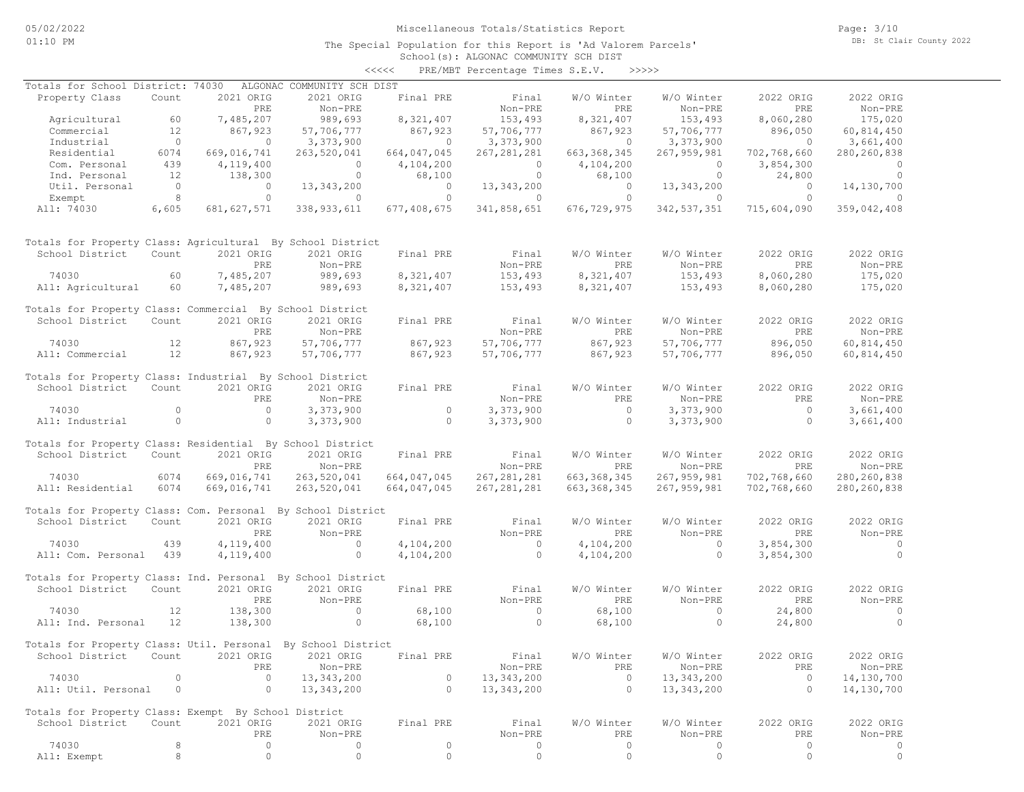The Special Population for this Report is 'Ad Valorem Parcels'

Page: 3/10 DB: St Clair County 2022

### School(s): ALGONAC COMMUNITY SCH DIST <<<<< PRE/MBT Percentage Times S.E.V. >>>>>

| Totals for School District: 74030                            |                |                | ALGONAC COMMUNITY SCH DIST |                |                |                |                    |                |                                  |
|--------------------------------------------------------------|----------------|----------------|----------------------------|----------------|----------------|----------------|--------------------|----------------|----------------------------------|
| Property Class                                               | Count          | 2021 ORIG      | 2021 ORIG                  | Final PRE      | Final          | W/O Winter     | W/O Winter         | 2022 ORIG      | 2022 ORIG                        |
|                                                              |                | PRE            | Non-PRE                    |                | Non-PRE        | PRE            | Non-PRE            | PRE            | Non-PRE                          |
| Agricultural                                                 | 60             | 7,485,207      | 989,693                    | 8,321,407      | 153,493        | 8,321,407      | 153,493            | 8,060,280      | 175,020                          |
| Commercial                                                   | 12             | 867,923        | 57,706,777                 | 867,923        | 57,706,777     | 867,923        | 57,706,777         | 896,050        | 60,814,450                       |
| Industrial                                                   | $\overline{0}$ | $\overline{0}$ | 3,373,900                  | $\sim$ 0       | 3,373,900      | $\overline{0}$ | 3,373,900          | $\overline{0}$ | 3,661,400                        |
| Residential                                                  | 6074           | 669,016,741    | 263,520,041                | 664,047,045    | 267, 281, 281  | 663, 368, 345  | 267,959,981        | 702,768,660    | 280, 260, 838                    |
| Com. Personal                                                | 439            | 4,119,400      | $\overline{0}$             | 4,104,200      | $\overline{0}$ | 4,104,200      | $\overline{0}$     | 3,854,300      | $\overline{0}$                   |
| Ind. Personal                                                | 12             | 138,300        | $\overline{0}$             | 68,100         | $\overline{0}$ | 68,100         | $\circ$            | 24,800         | $\overline{0}$                   |
| Util. Personal                                               | $\overline{0}$ | $\circ$        | 13, 343, 200               | $\sim$ 0       | 13,343,200     | $\overline{0}$ | 13, 343, 200       | $\overline{0}$ | 14,130,700                       |
| Exempt                                                       | 8              | $\circ$        | $\overline{0}$             | $\circ$        | $\sim$ 0       | $\circ$        | $\overline{0}$     | $\overline{0}$ | $\sim$ 0                         |
| All: 74030                                                   | 6,605          | 681, 627, 571  | 338, 933, 611              | 677,408,675    | 341,858,651    | 676,729,975    | 342, 537, 351      | 715,604,090    | 359,042,408                      |
| Totals for Property Class: Agricultural By School District   |                |                |                            |                |                |                |                    |                |                                  |
| School District                                              | Count          | 2021 ORIG      | 2021 ORIG                  | Final PRE      | Final          | W/O Winter     | W/O Winter         | 2022 ORIG      | 2022 ORIG                        |
|                                                              |                | PRE            | Non-PRE                    |                | Non-PRE        | PRE            | Non-PRE            | PRE            | Non-PRE                          |
| 74030                                                        | 60             | 7,485,207      | 989,693                    | 8,321,407      | 153,493        | 8,321,407      | 153,493            | 8,060,280      | 175,020                          |
| All: Agricultural                                            | 60             | 7,485,207      | 989,693                    | 8,321,407      | 153,493        | 8,321,407      | 153,493            | 8,060,280      | 175,020                          |
| Totals for Property Class: Commercial By School District     |                |                |                            |                |                |                |                    |                |                                  |
| School District                                              | Count          | 2021 ORIG      | 2021 ORIG                  | Final PRE      | Final          | W/O Winter     | W/O Winter         | 2022 ORIG      | 2022 ORIG                        |
|                                                              |                | PRE            | Non-PRE                    |                | Non-PRE        | PRE            | Non-PRE            | PRE            | Non-PRE                          |
| 74030                                                        | 12             | 867,923        | 57,706,777                 | 867,923        | 57,706,777     | 867,923        | 57,706,777         | 896,050        | 60,814,450                       |
| All: Commercial                                              | 12             | 867,923        | 57,706,777                 | 867,923        | 57,706,777     | 867,923        | 57,706,777         | 896,050        | 60,814,450                       |
| Totals for Property Class: Industrial By School District     |                |                |                            |                |                |                |                    |                |                                  |
| School District                                              | Count          | 2021 ORIG      | 2021 ORIG                  | Final PRE      | Final          | W/O Winter     | W/O Winter         | 2022 ORIG      | 2022 ORIG                        |
|                                                              |                | PRE            | Non-PRE                    |                | Non-PRE        | PRE            | Non-PRE            | PRE            | Non-PRE                          |
| 74030                                                        | $\circ$        | $\overline{0}$ | 3,373,900                  | $\overline{0}$ | 3,373,900      | $\overline{0}$ | 3,373,900          | $\overline{0}$ | 3,661,400                        |
| All: Industrial                                              | $\circ$        | $\circ$        | 3,373,900                  | $\overline{0}$ | 3,373,900      | $\overline{0}$ | 3,373,900          | $\overline{0}$ | 3,661,400                        |
|                                                              |                |                |                            |                |                |                |                    |                |                                  |
| Totals for Property Class: Residential By School District    |                |                |                            |                |                |                |                    |                |                                  |
| School District                                              | Count          | 2021 ORIG      | 2021 ORIG                  | Final PRE      | Final          | W/O Winter     | W/O Winter         | 2022 ORIG      | 2022 ORIG                        |
|                                                              |                | PRE            | Non-PRE                    |                | Non-PRE        | PRE            | Non-PRE            | PRE            | Non-PRE                          |
| 74030                                                        | 6074           | 669,016,741    | 263,520,041                | 664,047,045    | 267, 281, 281  | 663, 368, 345  | 267,959,981        | 702,768,660    | 280, 260, 838                    |
| All: Residential                                             | 6074           | 669,016,741    | 263,520,041                | 664,047,045    | 267, 281, 281  | 663, 368, 345  | 267,959,981        | 702,768,660    | 280, 260, 838                    |
| Totals for Property Class: Com. Personal By School District  |                |                |                            |                |                |                |                    |                |                                  |
| School District                                              | Count          | 2021 ORIG      | 2021 ORIG                  | Final PRE      | Final          | W/O Winter     | W/O Winter         | 2022 ORIG      | 2022 ORIG                        |
|                                                              |                | PRE            | Non-PRE                    |                | Non-PRE        | PRE            | Non-PRE            | PRE            | Non-PRE                          |
| 74030                                                        | 439            | 4,119,400      | $\overline{0}$             | 4,104,200      | $\overline{0}$ | 4,104,200      | $\circ$            | 3,854,300      | $\overline{0}$                   |
| All: Com. Personal 439                                       |                | 4,119,400      | $\circ$                    | 4,104,200      | $\overline{0}$ | 4,104,200      | $\circ$            | 3,854,300      | $\overline{0}$                   |
| Totals for Property Class: Ind. Personal By School District  |                |                |                            |                |                |                |                    |                |                                  |
| School District                                              | Count          | 2021 ORIG      | 2021 ORIG                  | Final PRE      | Final          | W/O Winter     | W/O Winter         | 2022 ORIG      | 2022 ORIG                        |
|                                                              |                | PRE            | Non-PRE                    |                | Non-PRE        | PRE            | Non-PRE            | PRE            | Non-PRE                          |
|                                                              |                |                | $\overline{0}$             |                | $\overline{0}$ |                |                    |                |                                  |
| 74030<br>All: Ind. Personal                                  | 12             | 138,300        | $\circ$                    | 68,100         | $\overline{0}$ | 68,100         | $\circ$<br>$\circ$ | 24,800         | $\overline{0}$<br>$\overline{0}$ |
|                                                              | 12             | 138,300        |                            | 68,100         |                | 68,100         |                    | 24,800         |                                  |
| Totals for Property Class: Util. Personal By School District |                |                |                            |                |                |                |                    |                |                                  |
| School District Count 2021 ORIG 2021 ORIG Final PRE          |                |                |                            |                | Final          | W/O Winter     | W/O Winter         | 2022 ORIG      | 2022 ORIG                        |
|                                                              |                | PRE            | Non-PRE                    |                | Non-PRE        | PRE            | Non-PRE            | PRE            | Non-PRE                          |
| 74030                                                        | 0              | $\circ$        | 13, 343, 200               | 0              | 13,343,200     | $\circ$        | 13,343,200         | $\circ$        | 14,130,700                       |
| All: Util. Personal                                          | $\circ$        | $\circ$        | 13, 343, 200               | $\circ$        | 13,343,200     | $\circ$        | 13,343,200         | $\circ$        | 14,130,700                       |
|                                                              |                |                |                            |                |                |                |                    |                |                                  |
| Totals for Property Class: Exempt By School District         |                |                |                            |                |                |                |                    |                |                                  |
| School District                                              | Count          | 2021 ORIG      | 2021 ORIG                  | Final PRE      | Final          | W/O Winter     | W/O Winter         | 2022 ORIG      | 2022 ORIG                        |
|                                                              |                | PRE            | Non-PRE                    |                | $Non-PRE$      | PRE            | Non-PRE            | PRE            | Non-PRE                          |
| 74030                                                        | 8              | $\circ$        | 0                          | 0              | 0              | 0              | 0                  | $\circ$        | 0                                |
| All: Exempt                                                  | 8              | $\circ$        | $\circ$                    | $\mathbb O$    | $\circ$        | $\circ$        | $\circ$            | $\circ$        | $\circ$                          |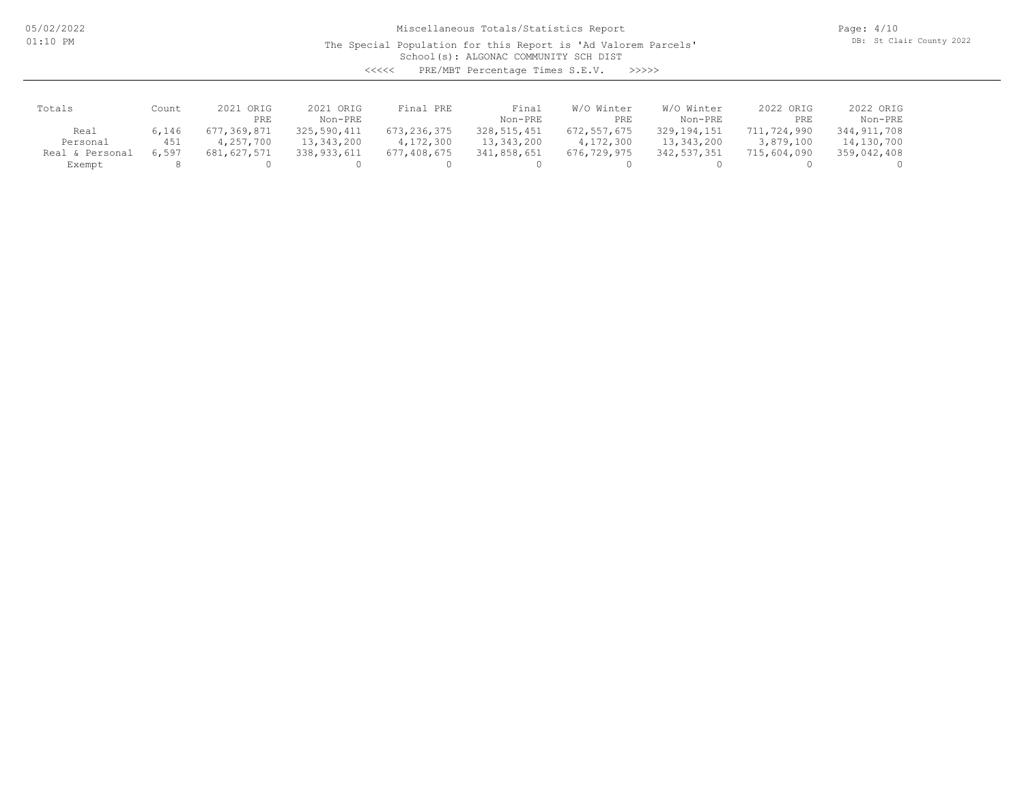05/02/2022 01:10 PM

Miscellaneous Totals/Statistics Report

The Special Population for this Report is 'Ad Valorem Parcels'

Page: 4/10 DB: St Clair County 2022

School(s): ALGONAC COMMUNITY SCH DIST

<<<<< PRE/MBT Percentage Times S.E.V. >>>>>

| Totals             | Count | 2021 ORIG   | 2021 ORIG   | Final PRE   | Final         | W/O Winter  | W/O Winter  | 2022 ORIG   | 2022 ORIG   |
|--------------------|-------|-------------|-------------|-------------|---------------|-------------|-------------|-------------|-------------|
|                    |       | PRE         | Non-PRE     |             | Non-PRE       | PRE         | Non-PRE     | PRE         | Non-PRE     |
| Real               | 6,146 | 677,369,871 | 325,590,411 | 673,236,375 | 328, 515, 451 | 672,557,675 | 329,194,151 | 711,724,990 | 344,911,708 |
| Personal           | 451   | 4,257,700   | 13,343,200  | 4,172,300   | 13,343,200    | 4,172,300   | 13,343,200  | 3,879,100   | 14,130,700  |
| Personal<br>Real & | 6,597 | 681,627,571 | 338,933,611 | 677,408,675 | 341,858,651   | 676,729,975 | 342,537,351 | 715,604,090 | 359,042,408 |
| Exempt             |       |             |             |             |               |             |             |             |             |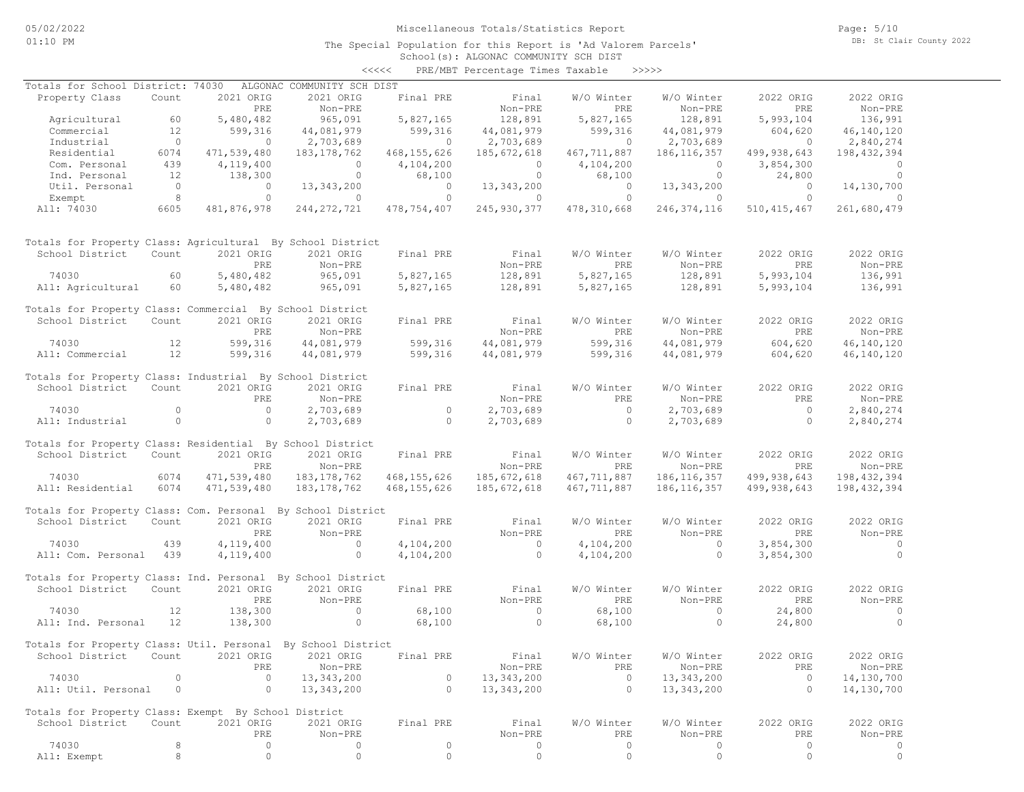The Special Population for this Report is 'Ad Valorem Parcels'

Page: 5/10 DB: St Clair County 2022

### School(s): ALGONAC COMMUNITY SCH DIST <<<<< PRE/MBT Percentage Times Taxable >>>>>

| Totals for School District: 74030                            |                |                | ALGONAC COMMUNITY SCH DIST |                |                |                |                |                |                |
|--------------------------------------------------------------|----------------|----------------|----------------------------|----------------|----------------|----------------|----------------|----------------|----------------|
| Property Class                                               | Count          | 2021 ORIG      | 2021 ORIG                  | Final PRE      | Final          | W/O Winter     | W/O Winter     | 2022 ORIG      | 2022 ORIG      |
|                                                              |                | PRE            | Non-PRE                    |                | Non-PRE        | PRE            | Non-PRE        | PRE            | Non-PRE        |
| Agricultural                                                 | 60             | 5,480,482      | 965,091                    | 5,827,165      | 128,891        | 5,827,165      | 128,891        | 5,993,104      | 136,991        |
| Commercial                                                   | 12             | 599,316        | 44,081,979                 | 599,316        | 44,081,979     | 599,316        | 44,081,979     | 604,620        | 46,140,120     |
| Industrial                                                   | $\overline{0}$ | $\overline{0}$ | 2,703,689                  | $\overline{0}$ | 2,703,689      | $\overline{0}$ | 2,703,689      | $\overline{0}$ | 2,840,274      |
| Residential                                                  | 6074           | 471,539,480    | 183,178,762                | 468, 155, 626  | 185,672,618    | 467,711,887    | 186, 116, 357  | 499,938,643    | 198,432,394    |
| Com. Personal                                                | 439            | 4,119,400      | $\overline{0}$             | 4,104,200      | $\overline{0}$ | 4,104,200      | $\circ$        | 3,854,300      | $\overline{0}$ |
| Ind. Personal                                                | 12             | 138,300        | $\circ$                    | 68,100         | $\circ$        | 68,100         | $\circ$        | 24,800         | $\overline{0}$ |
| Util. Personal                                               | $\overline{0}$ | $\overline{0}$ | 13, 343, 200               | $\overline{0}$ | 13,343,200     | $\overline{0}$ | 13,343,200     | $\overline{0}$ | 14,130,700     |
| Exempt                                                       | 8 <sup>1</sup> | $\circ$        | $\circ$                    | $\circ$        | $\overline{0}$ | $\circ$        | $\overline{0}$ | $\circ$        | $\overline{0}$ |
| All: 74030                                                   | 6605           | 481,876,978    | 244, 272, 721              | 478,754,407    | 245,930,377    | 478,310,668    | 246, 374, 116  | 510, 415, 467  | 261,680,479    |
| Totals for Property Class: Agricultural By School District   |                |                |                            |                |                |                |                |                |                |
| School District                                              | Count          | 2021 ORIG      | 2021 ORIG                  | Final PRE      | Final          | W/O Winter     | W/O Winter     | 2022 ORIG      | 2022 ORIG      |
|                                                              |                | PRE            | Non-PRE                    |                | Non-PRE        | PRE            | Non-PRE        | PRE            | Non-PRE        |
| 74030                                                        | 60             | 5,480,482      | 965,091                    | 5,827,165      | 128,891        | 5,827,165      | 128,891        | 5,993,104      | 136,991        |
| All: Agricultural                                            | 60             | 5,480,482      | 965,091                    | 5,827,165      | 128,891        | 5,827,165      | 128,891        | 5,993,104      | 136,991        |
|                                                              |                |                |                            |                |                |                |                |                |                |
| Totals for Property Class: Commercial By School District     |                |                |                            |                |                |                |                |                |                |
| School District                                              | Count          | 2021 ORIG      | 2021 ORIG                  | Final PRE      | Final          | W/O Winter     | W/O Winter     | 2022 ORIG      | 2022 ORIG      |
|                                                              |                | PRE            | Non-PRE                    |                | Non-PRE        | PRE            | Non-PRE        | PRE            | Non-PRE        |
| 74030                                                        | 12             | 599,316        | 44,081,979                 | 599,316        | 44,081,979     | 599,316        | 44,081,979     | 604,620        | 46,140,120     |
| All: Commercial                                              | 12             | 599,316        | 44,081,979                 | 599,316        | 44,081,979     | 599,316        | 44,081,979     | 604,620        | 46, 140, 120   |
|                                                              |                |                |                            |                |                |                |                |                |                |
| Totals for Property Class: Industrial By School District     |                |                |                            |                |                |                |                |                |                |
| School District                                              | Count          | 2021 ORIG      | 2021 ORIG                  | Final PRE      | Final          | W/O Winter     | W/O Winter     | 2022 ORIG      | 2022 ORIG      |
|                                                              |                | PRE            | Non-PRE                    |                | Non-PRE        | PRE            | Non-PRE        | PRE            | Non-PRE        |
| 74030                                                        | $\Omega$       | $\overline{0}$ | 2,703,689                  | $\circ$        | 2,703,689      | $\overline{0}$ | 2,703,689      | $\overline{0}$ | 2,840,274      |
| All: Industrial                                              | $\circ$        | $\circ$        | 2,703,689                  | $\sim$ 0       | 2,703,689      | $\overline{0}$ | 2,703,689      | $\circ$        | 2,840,274      |
|                                                              |                |                |                            |                |                |                |                |                |                |
| Totals for Property Class: Residential By School District    |                |                |                            |                |                |                |                |                |                |
| School District                                              | Count          | 2021 ORIG      | 2021 ORIG                  | Final PRE      | Final          | W/O Winter     | W/O Winter     | 2022 ORIG      | 2022 ORIG      |
|                                                              |                | PRE            | Non-PRE                    |                | Non-PRE        | PRE            | Non-PRE        | PRE            | Non-PRE        |
| 74030                                                        | 6074           | 471,539,480    | 183,178,762                | 468,155,626    | 185,672,618    | 467,711,887    | 186, 116, 357  | 499,938,643    | 198, 432, 394  |
| All: Residential                                             | 6074           | 471,539,480    | 183, 178, 762              | 468, 155, 626  | 185,672,618    | 467,711,887    | 186, 116, 357  | 499,938,643    | 198,432,394    |
|                                                              |                |                |                            |                |                |                |                |                |                |
| Totals for Property Class: Com. Personal By School District  |                |                |                            |                |                |                |                |                |                |
| School District                                              | Count          | 2021 ORIG      | 2021 ORIG                  | Final PRE      | Final          | W/O Winter     | W/O Winter     | 2022 ORIG      | 2022 ORIG      |
|                                                              |                | PRE            | Non-PRE                    |                | Non-PRE        | PRE            | Non-PRE        | PRE            | Non-PRE        |
| 74030                                                        | 439            | 4,119,400      | $\sim$ 0                   | 4,104,200      | $\sim$ 0       | 4,104,200      | $\circ$        | 3,854,300      | $\sim$ 0       |
| All: Com. Personal 439                                       |                | 4,119,400      | $\circ$                    | 4,104,200      | $\circ$        | 4,104,200      | $\circ$        | 3,854,300      | $\circ$        |
|                                                              |                |                |                            |                |                |                |                |                |                |
| Totals for Property Class: Ind. Personal By School District  |                |                |                            |                |                |                |                |                |                |
| School District                                              | Count          | 2021 ORIG      | 2021 ORIG                  | Final PRE      | Final          | W/O Winter     | W/O Winter     | 2022 ORIG      | 2022 ORIG      |
|                                                              |                | PRE            | Non-PRE                    |                | Non-PRE        | PRE            | Non-PRE        | PRE            | Non-PRE        |
| 74030                                                        | 12             | 138,300        | $\circ$                    | 68,100         | $\circ$        | 68,100         | $\circ$        | 24,800         | $\circ$        |
| All: Ind. Personal                                           | 12             | 138,300        | $\circ$                    | 68,100         | $\circ$        | 68,100         | $\circ$        | 24,800         | $\circ$        |
|                                                              |                |                |                            |                |                |                |                |                |                |
| Totals for Property Class: Util. Personal By School District |                |                |                            |                |                |                |                |                |                |
| School District Count 2021 ORIG 2021 ORIG Final PRE          |                |                |                            |                | Final          | W/O Winter     | W/O Winter     | 2022 ORIG      | 2022 ORIG      |
|                                                              |                | PRE            | Non-PRE                    |                | Non-PRE        | PRE            | Non-PRE        | PRE            | Non-PRE        |
| 74030                                                        | 0              | $\circ$        | 13,343,200                 | $\circ$        | 13,343,200     | $\overline{0}$ | 13,343,200     | $\overline{0}$ | 14,130,700     |
| All: Util. Personal                                          | $\overline{0}$ | $\circ$        | 13,343,200                 | $\circ$        | 13,343,200     | $\circ$        | 13,343,200     | $\circ$        | 14,130,700     |
|                                                              |                |                |                            |                |                |                |                |                |                |
| Totals for Property Class: Exempt By School District         |                |                |                            |                |                |                |                |                |                |
| School District                                              | Count          | 2021 ORIG      | 2021 ORIG                  | Final PRE      | Final          | W/O Winter     | W/O Winter     | 2022 ORIG      | 2022 ORIG      |
|                                                              |                | PRE            | Non-PRE                    |                | Non-PRE        | PRE            | Non-PRE        | PRE            | Non-PRE        |
| 74030                                                        | 8              | $\circ$        | 0                          | $\circ$        | 0              | $\circ$        | 0              | $\circ$        | 0              |
| All: Exempt                                                  | 8              | $\circ$        | $\circ$                    | $\circ$        | $\circ$        | $\circ$        | $\circ$        | 0              | $\circ$        |
|                                                              |                |                |                            |                |                |                |                |                |                |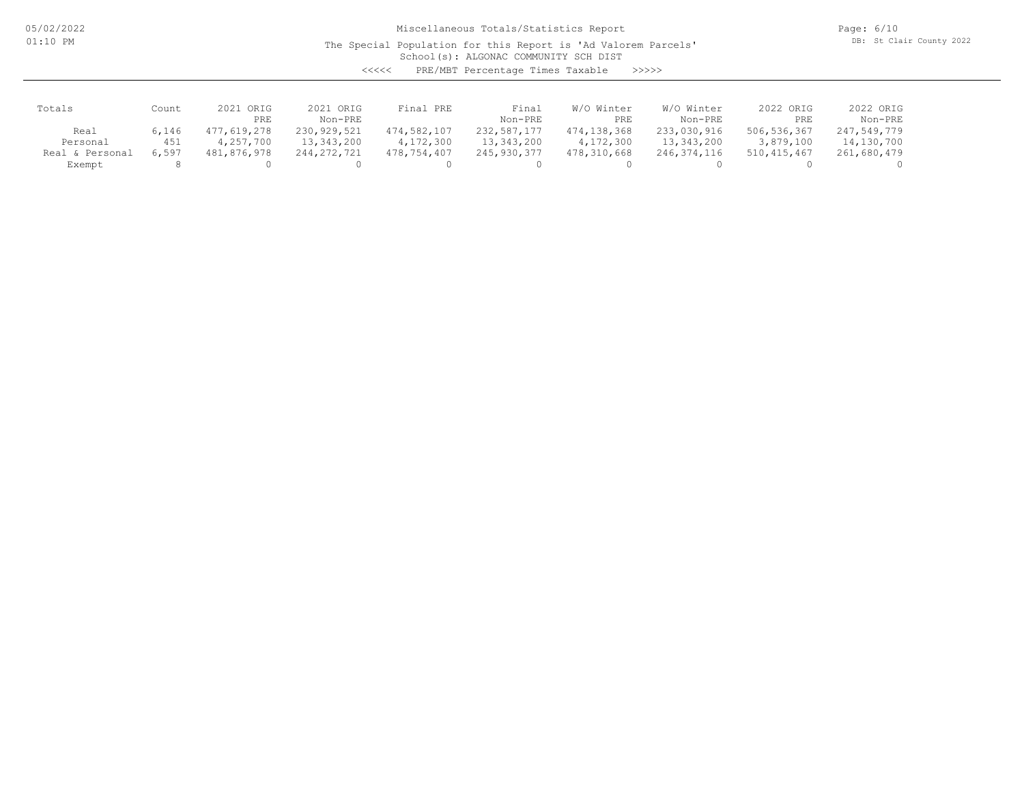05/02/2022 01:10 PM

Miscellaneous Totals/Statistics Report

The Special Population for this Report is 'Ad Valorem Parcels'

Page: 6/10 DB: St Clair County 2022

School(s): ALGONAC COMMUNITY SCH DIST

<<<<< PRE/MBT Percentage Times Taxable >>>>>

| Totals          | Count | 2021 ORIG   | 2021 ORIG     | Final PRE   | Final       | W/O Winter  | W/O Winter  | 2022 ORIG   | 2022 ORIG   |
|-----------------|-------|-------------|---------------|-------------|-------------|-------------|-------------|-------------|-------------|
|                 |       | PRE         | Non-PRE       |             | Non-PRE     | PRE         | Non-PRE     | PRE         | Non-PRE     |
| Real            | 6,146 | 477,619,278 | 230, 929, 521 | 474,582,107 | 232,587,177 | 474,138,368 | 233,030,916 | 506,536,367 | 247,549,779 |
| Personal        | 451   | 4,257,700   | 13,343,200    | 4,172,300   | 13,343,200  | 4,172,300   | 13,343,200  | 3,879,100   | 14,130,700  |
| Real & Personal | 6,597 | 481,876,978 | 244, 272, 721 | 478,754,407 | 245,930,377 | 478,310,668 | 246,374,116 | 510,415,467 | 261,680,479 |
| Exempt          |       |             |               |             |             |             |             |             |             |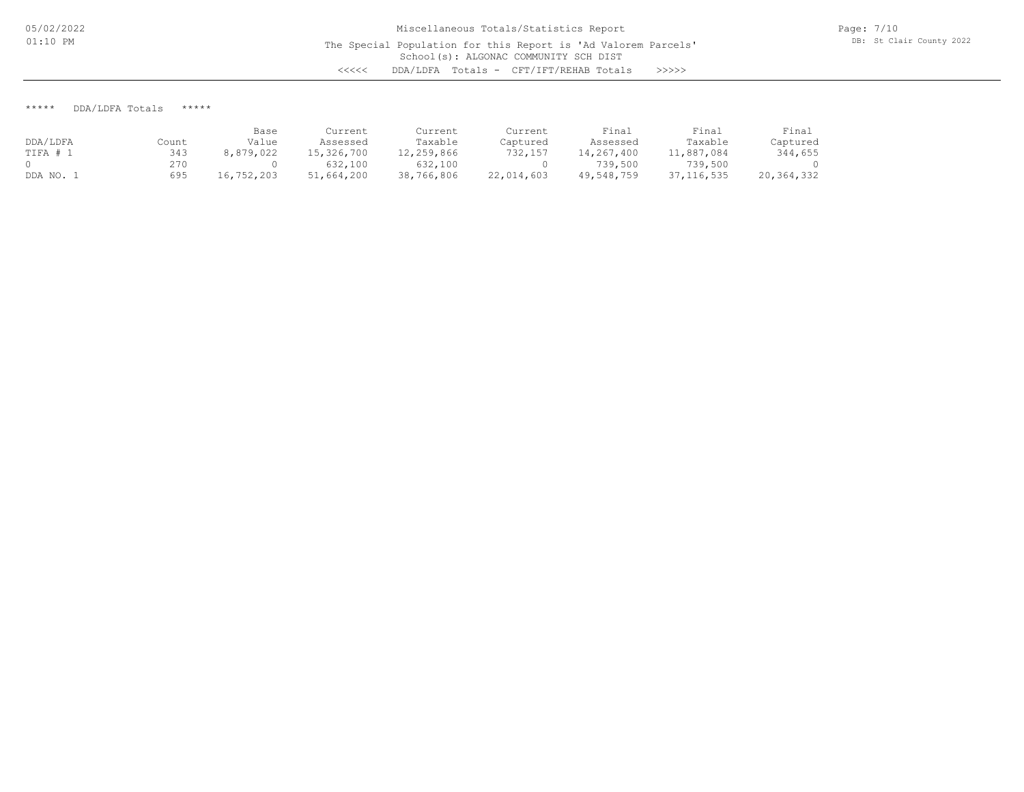\*\*\*\*\* DDA/LDFA Totals \*\*\*\*\*

|          |       | Base       | Current    | Current    | Current    | Final      | Final        | Final      |
|----------|-------|------------|------------|------------|------------|------------|--------------|------------|
| DDA/LDFA | Count | Value      | Assessed   | Taxable    | Captured   | Assessed   | Taxable      | Captured   |
| TIFA # 1 | 343   | 8,879,022  | 15,326,700 | 12,259,866 | 732,157    | 14,267,400 | 11,887,084   | 344,655    |
|          | 270   |            | 632,100    | 632,100    |            | 739,500    | 739,500      |            |
| DDA NO.  | 695   | 16,752,203 | 51,664,200 | 38,766,806 | 22,014,603 | 49,548,759 | 37, 116, 535 | 20,364,332 |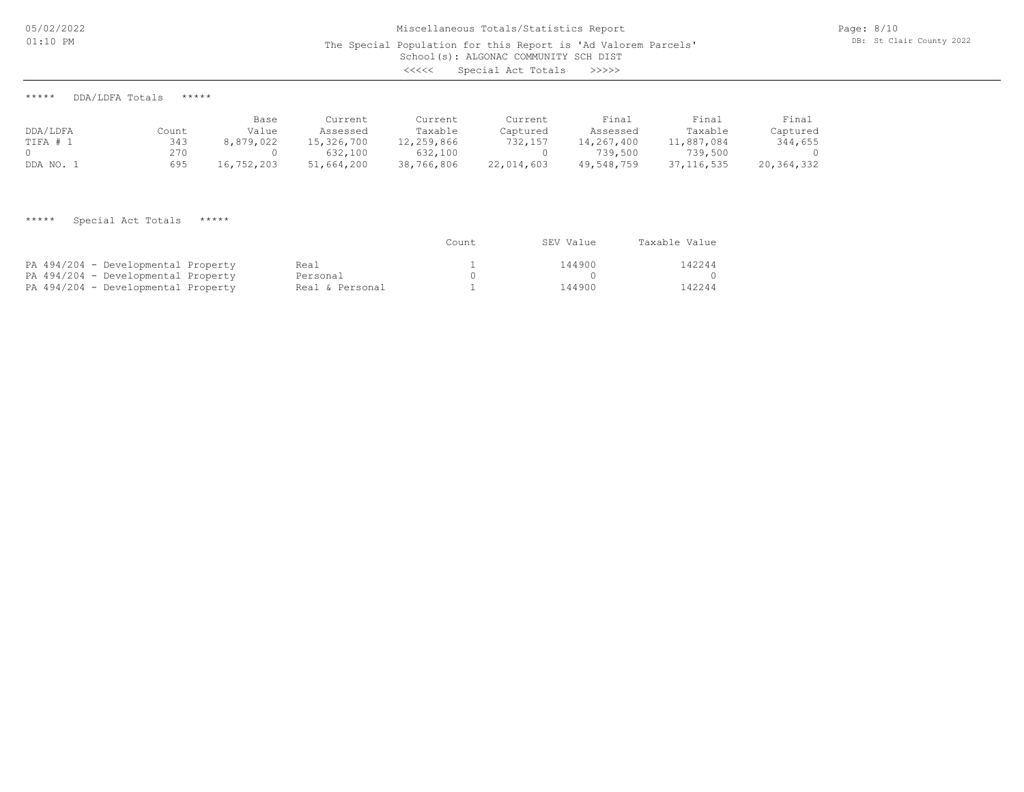\*\*\*\*\* DDA/LDFA Totals \*\*\*\*\*

|           |       | Base       | Current    | Current    | Current    | Final      | Final        | Final      |
|-----------|-------|------------|------------|------------|------------|------------|--------------|------------|
| DDA/LDFA  | Count | Value      | Assessed   | Taxable    | Captured   | Assessed   | Taxable      | Captured   |
| TIFA #    | 343   | 8,879,022  | 15,326,700 | 12,259,866 | 732,157    | 14,267,400 | 11,887,084   | 344,655    |
|           | 270   |            | 632,100    | 632,100    |            | 739,500    | 739,500      |            |
| DDA NO. . | 695   | 16,752,203 | 51,664,200 | 38,766,806 | 22,014,603 | 49,548,759 | 37, 116, 535 | 20,364,332 |

\*\*\*\*\* Special Act Totals \*\*\*\*\*

|                                     |                 | Count | SEV Value | Taxable Value |
|-------------------------------------|-----------------|-------|-----------|---------------|
| PA 494/204 - Developmental Property | Real            |       | 144900    | 142244        |
| PA 494/204 - Developmental Property | Personal        |       |           |               |
| PA 494/204 - Developmental Property | Real & Personal |       | 144900    | 142244        |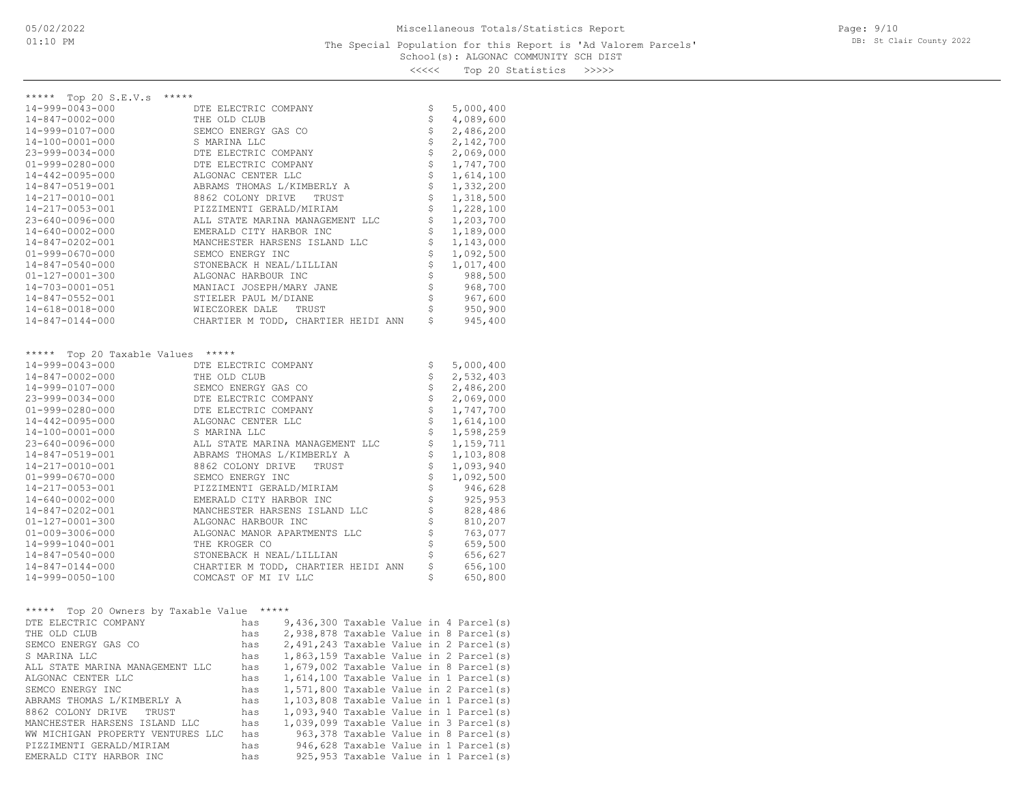### School(s): ALGONAC COMMUNITY SCH DIST The Special Population for this Report is 'Ad Valorem Parcels'

Page: 9/10 DB: St Clair County 2022

<<<<< Top 20 Statistics >>>>>

| ***** Top 20 S.E.V.s *****                            |                      |            |                                     |  |  |                                          |                                                                                  |
|-------------------------------------------------------|----------------------|------------|-------------------------------------|--|--|------------------------------------------|----------------------------------------------------------------------------------|
| 14-999-0043-000                                       | DTE ELECTRIC COMPANY |            |                                     |  |  | \$<br>\$                                 | 5,000,400                                                                        |
| 14-847-0002-000                                       | THE OLD CLUB         |            |                                     |  |  |                                          | 4,089,600                                                                        |
| 14-999-0107-000                                       | SEMCO ENERGY GAS CO  |            |                                     |  |  | \$                                       | 2,486,200                                                                        |
| 14-100-0001-000                                       | S MARINA LLC         |            |                                     |  |  | \$                                       | 2,142,700                                                                        |
| 23-999-0034-000                                       | DTE ELECTRIC COMPANY |            |                                     |  |  | $\boldsymbol{\mathsf{S}}$                | 2,069,000                                                                        |
| $01 - 999 - 0280 - 000$                               | DTE ELECTRIC COMPANY |            |                                     |  |  | \$                                       | 1,747,700                                                                        |
| 14-442-0095-000                                       | ALGONAC CENTER LLC   |            |                                     |  |  | \$                                       | 1,614,100                                                                        |
| 14-847-0519-001                                       |                      |            | ABRAMS THOMAS L/KIMBERLY A          |  |  | \$                                       | 1,332,200                                                                        |
| 14-217-0010-001                                       |                      |            | 8862 COLONY DRIVE TRUST             |  |  | \$                                       | 1,318,500                                                                        |
| 14-217-0053-001                                       |                      |            | PIZZIMENTI GERALD/MIRIAM            |  |  | \$                                       | 1,228,100                                                                        |
| 23-640-0096-000                                       |                      |            | ALL STATE MARINA MANAGEMENT LLC     |  |  | \$                                       | 1,203,700                                                                        |
| $14 - 640 - 0002 - 000$                               |                      |            | EMERALD CITY HARBOR INC             |  |  | \$                                       | 1,189,000                                                                        |
| 14-847-0202-001                                       |                      |            | MANCHESTER HARSENS ISLAND LLC       |  |  | \$                                       | 1,143,000                                                                        |
| $01 - 999 - 0670 - 000$                               | SEMCO ENERGY INC     |            |                                     |  |  | \$                                       | 1,092,500                                                                        |
| 14-847-0540-000                                       |                      |            | STONEBACK H NEAL/LILLIAN            |  |  | \$                                       | 1,017,400                                                                        |
| 01-127-0001-300                                       | ALGONAC HARBOUR INC  |            |                                     |  |  | \$                                       | 988,500                                                                          |
| 14-703-0001-051                                       |                      |            | MANIACI JOSEPH/MARY JANE            |  |  | 0, 0, 0, 0, 0,                           | 968,700                                                                          |
| 14-847-0552-001                                       | STIELER PAUL M/DIANE |            |                                     |  |  |                                          | 967,600                                                                          |
| $14 - 618 - 0018 - 000$                               |                      |            | WIECZOREK DALE TRUST                |  |  |                                          | 950,900                                                                          |
| $14 - 847 - 0144 - 000$                               |                      |            | CHARTIER M TODD, CHARTIER HEIDI ANN |  |  |                                          | 945,400                                                                          |
|                                                       |                      |            |                                     |  |  |                                          |                                                                                  |
| ***** Top 20 Taxable Values *****                     |                      |            |                                     |  |  |                                          |                                                                                  |
| 14-999-0043-000                                       | DTE ELECTRIC COMPANY |            |                                     |  |  | \$                                       | 5,000,400                                                                        |
| 14-847-0002-000                                       | THE OLD CLUB         |            |                                     |  |  | \$                                       | 2,532,403                                                                        |
| 14-999-0107-000                                       | SEMCO ENERGY GAS CO  |            |                                     |  |  | \$                                       | 2,486,200                                                                        |
| 23-999-0034-000                                       | DTE ELECTRIC COMPANY |            |                                     |  |  | \$                                       | 2,069,000                                                                        |
| $01 - 999 - 0280 - 000$                               | DTE ELECTRIC COMPANY |            |                                     |  |  | $\boldsymbol{\dot{\varsigma}}$           | 1,747,700                                                                        |
| 14-442-0095-000                                       | ALGONAC CENTER LLC   |            |                                     |  |  | \$                                       | 1,614,100                                                                        |
| 14-100-0001-000                                       | S MARINA LLC         |            |                                     |  |  | \$                                       | 1,598,259                                                                        |
| 23-640-0096-000                                       |                      |            | ALL STATE MARINA MANAGEMENT LLC     |  |  | \$                                       | 1,159,711                                                                        |
| 14-847-0519-001                                       |                      |            | ABRAMS THOMAS L/KIMBERLY A          |  |  | \$                                       | 1,103,808                                                                        |
| 14-217-0010-001                                       | 8862 COLONY DRIVE    |            | TRUST                               |  |  | \$                                       | 1,093,940                                                                        |
| $01 - 999 - 0670 - 000$                               | SEMCO ENERGY INC     |            |                                     |  |  | \$                                       | 1,092,500                                                                        |
| 14-217-0053-001                                       |                      |            | PIZZIMENTI GERALD/MIRIAM            |  |  | \$                                       | 00 , ۔ ۔ ۔<br>946, 628<br>925                                                    |
| 14-640-0002-000                                       |                      |            | EMERALD CITY HARBOR INC             |  |  | \$                                       |                                                                                  |
| 14-847-0202-001                                       |                      |            | MANCHESTER HARSENS ISLAND LLC       |  |  | \$                                       | 828,486                                                                          |
| $01 - 127 - 0001 - 300$                               | ALGONAC HARBOUR INC  |            |                                     |  |  | $\ddot{\mathsf{S}}$                      | 810,207                                                                          |
| $01 - 009 - 3006 - 000$                               |                      |            | ALGONAC MANOR APARTMENTS LLC        |  |  | \$                                       | 763,077                                                                          |
| 14-999-1040-001                                       | THE KROGER CO        |            |                                     |  |  | $\boldsymbol{\dot{\varsigma}}$           | 659,500                                                                          |
| $14 - 847 - 0540 - 000$                               |                      |            | STONEBACK H NEAL/LILLIAN            |  |  | \$                                       | 656,627                                                                          |
| $14 - 847 - 0144 - 000$                               |                      |            | CHARTIER M TODD, CHARTIER HEIDI ANN |  |  | \$                                       | 656,100                                                                          |
| 14-999-0050-100                                       | COMCAST OF MI IV LLC |            |                                     |  |  | \$                                       | 650,800                                                                          |
|                                                       |                      |            |                                     |  |  |                                          |                                                                                  |
|                                                       |                      |            |                                     |  |  |                                          |                                                                                  |
| ***** Top 20 Owners by Taxable Value *****            |                      |            |                                     |  |  |                                          |                                                                                  |
| DTE ELECTRIC COMPANY                                  |                      | has        |                                     |  |  |                                          | $9,436,300$ Taxable Value in 4 Parcel(s)                                         |
| THE OLD CLUB                                          |                      | has        |                                     |  |  |                                          | 2,938,878 Taxable Value in 8 Parcel(s)                                           |
| SEMCO ENERGY GAS CO                                   |                      | has        |                                     |  |  |                                          | $2,491,243$ Taxable Value in 2 Parcel(s)                                         |
| S MARINA LLC                                          |                      | has        |                                     |  |  |                                          | $1,863,159$ Taxable Value in 2 Parcel(s)                                         |
| ALL STATE MARINA MANAGEMENT LLC                       | has                  |            |                                     |  |  | $1,679,002$ Taxable Value in 8 Parcel(s) |                                                                                  |
| ALGONAC CENTER LLC                                    | has                  |            |                                     |  |  | $1,614,100$ Taxable Value in 1 Parcel(s) |                                                                                  |
| SEMCO ENERGY INC                                      | has<br>has           |            |                                     |  |  |                                          | 1,571,800 Taxable Value in 2 Parcel(s)                                           |
| ABRAMS THOMAS L/KIMBERLY A<br>8862 COLONY DRIVE TRUST |                      |            |                                     |  |  |                                          | 1,103,808 Taxable Value in 1 Parcel(s)                                           |
| has<br>MANCHESTER HARSENS ISLAND LLC                  |                      |            |                                     |  |  |                                          | 1,093,940 Taxable Value in 1 Parcel(s)<br>1,039,099 Taxable Value in 3 Parcel(s) |
| WW MICHIGAN PROPERTY VENTURES LLC                     |                      | has<br>has |                                     |  |  |                                          | 963, 378 Taxable Value in 8 Parcel(s)                                            |
|                                                       |                      |            |                                     |  |  |                                          |                                                                                  |

EMERALD CITY HARBOR INC has 925,953 Taxable Value in 1 Parcel(s) PIZZIMENTI GERALD/MIRIAM has 946,628 Taxable Value in 1 Parcel(s)